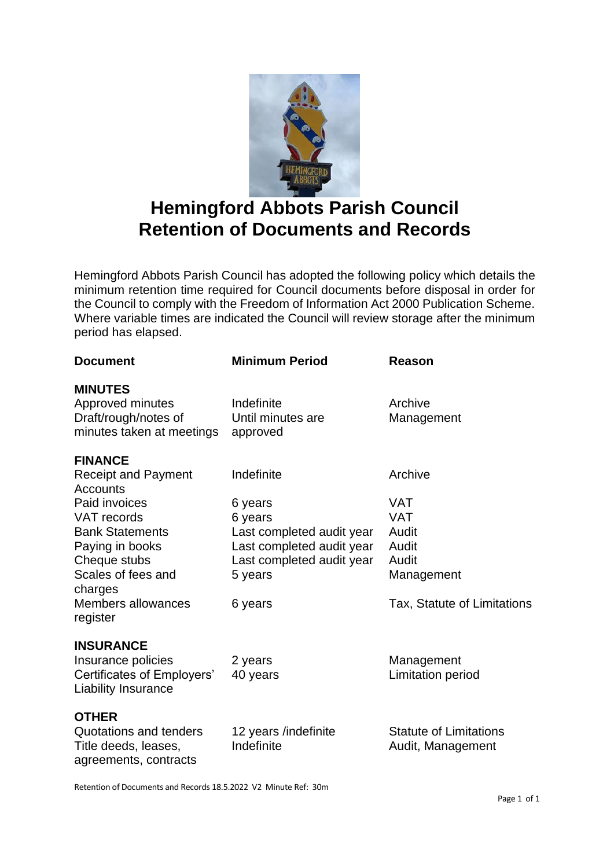

## **Hemingford Abbots Parish Council Retention of Documents and Records**

Hemingford Abbots Parish Council has adopted the following policy which details the minimum retention time required for Council documents before disposal in order for the Council to comply with the Freedom of Information Act 2000 Publication Scheme. Where variable times are indicated the Council will review storage after the minimum period has elapsed.

| <b>Document</b>                                          | <b>Minimum Period</b>     | Reason                        |
|----------------------------------------------------------|---------------------------|-------------------------------|
| <b>MINUTES</b>                                           |                           |                               |
| Approved minutes                                         | Indefinite                | Archive                       |
| Draft/rough/notes of                                     | Until minutes are         | Management                    |
| minutes taken at meetings                                | approved                  |                               |
| <b>FINANCE</b>                                           |                           |                               |
| <b>Receipt and Payment</b><br>Accounts                   | Indefinite                | Archive                       |
| Paid invoices                                            | 6 years                   | VAT                           |
| VAT records                                              | 6 years                   | <b>VAT</b>                    |
| <b>Bank Statements</b>                                   | Last completed audit year | Audit                         |
| Paying in books                                          | Last completed audit year | Audit                         |
| Cheque stubs                                             | Last completed audit year | Audit                         |
| Scales of fees and<br>charges                            | 5 years                   | Management                    |
| Members allowances<br>register                           | 6 years                   | Tax, Statute of Limitations   |
| <b>INSURANCE</b>                                         |                           |                               |
| Insurance policies                                       | 2 years                   | Management                    |
| Certificates of Employers'<br><b>Liability Insurance</b> | 40 years                  | Limitation period             |
| <b>OTHER</b>                                             |                           |                               |
| Quotations and tenders                                   | 12 years /indefinite      | <b>Statute of Limitations</b> |
| Title deeds, leases,<br>agreements, contracts            | Indefinite                | Audit, Management             |

Retention of Documents and Records 18.5.2022 V2 Minute Ref: 30m